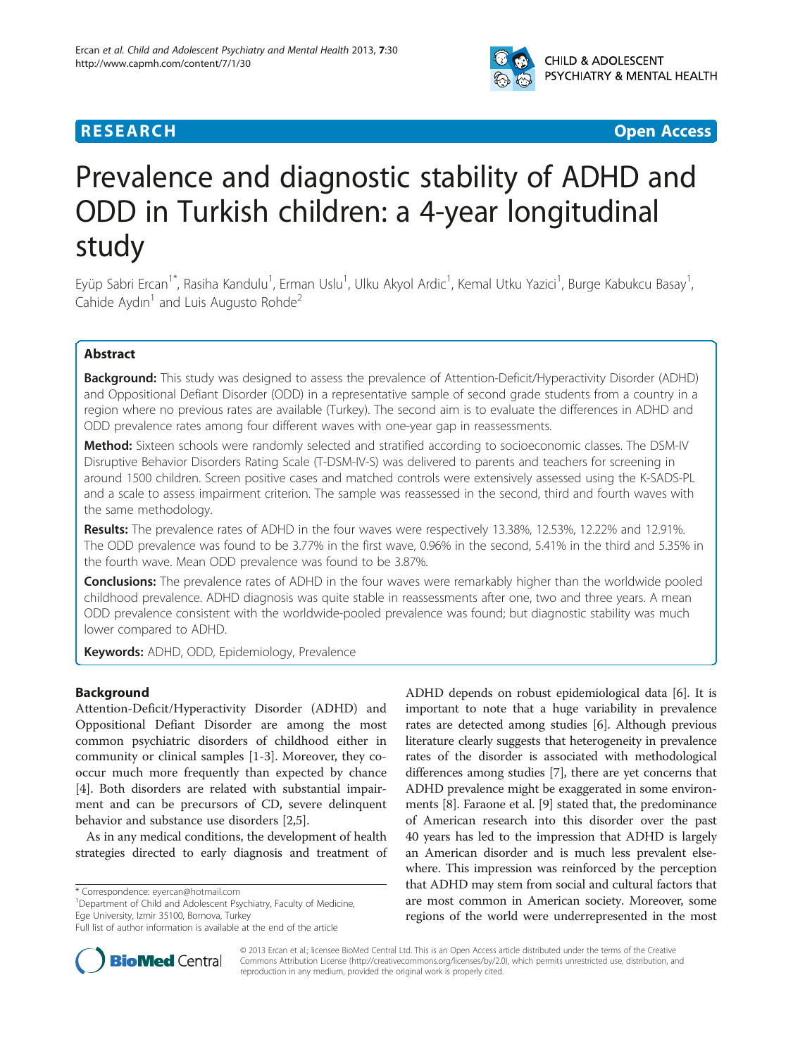

# **RESEARCH CHEAR CHEAR CHEAR CHEAR CHEAR CHEAR CHEAR CHEAR CHEAR CHEAR CHEAR CHEAR CHEAR CHEAR CHEAR CHEAR CHEAR**

# Prevalence and diagnostic stability of ADHD and ODD in Turkish children: a 4-year longitudinal study

Eyüp Sabri Ercan<sup>1\*</sup>, Rasiha Kandulu<sup>1</sup>, Erman Uslu<sup>1</sup>, Ulku Akyol Ardic<sup>1</sup>, Kemal Utku Yazici<sup>1</sup>, Burge Kabukcu Basay<sup>1</sup> , Cahide Aydın<sup>1</sup> and Luis Augusto Rohde<sup>2</sup>

# Abstract

Background: This study was designed to assess the prevalence of Attention-Deficit/Hyperactivity Disorder (ADHD) and Oppositional Defiant Disorder (ODD) in a representative sample of second grade students from a country in a region where no previous rates are available (Turkey). The second aim is to evaluate the differences in ADHD and ODD prevalence rates among four different waves with one-year gap in reassessments.

**Method:** Sixteen schools were randomly selected and stratified according to socioeconomic classes. The DSM-IV Disruptive Behavior Disorders Rating Scale (T-DSM-IV-S) was delivered to parents and teachers for screening in around 1500 children. Screen positive cases and matched controls were extensively assessed using the K-SADS-PL and a scale to assess impairment criterion. The sample was reassessed in the second, third and fourth waves with the same methodology.

Results: The prevalence rates of ADHD in the four waves were respectively 13.38%, 12.53%, 12.22% and 12.91%. The ODD prevalence was found to be 3.77% in the first wave, 0.96% in the second, 5.41% in the third and 5.35% in the fourth wave. Mean ODD prevalence was found to be 3.87%.

**Conclusions:** The prevalence rates of ADHD in the four waves were remarkably higher than the worldwide pooled childhood prevalence. ADHD diagnosis was quite stable in reassessments after one, two and three years. A mean ODD prevalence consistent with the worldwide-pooled prevalence was found; but diagnostic stability was much lower compared to ADHD.

Keywords: ADHD, ODD, Epidemiology, Prevalence

# Background

Attention-Deficit/Hyperactivity Disorder (ADHD) and Oppositional Defiant Disorder are among the most common psychiatric disorders of childhood either in community or clinical samples [[1-3](#page-7-0)]. Moreover, they cooccur much more frequently than expected by chance [[4\]](#page-8-0). Both disorders are related with substantial impairment and can be precursors of CD, severe delinquent behavior and substance use disorders [\[2](#page-7-0)[,5](#page-8-0)].

As in any medical conditions, the development of health strategies directed to early diagnosis and treatment of

\* Correspondence: [eyercan@hotmail.com](mailto:eyercan@hotmail.com) <sup>1</sup>

<sup>1</sup>Department of Child and Adolescent Psychiatry, Faculty of Medicine, Ege University, Izmir 35100, Bornova, Turkey

ADHD depends on robust epidemiological data [\[6](#page-8-0)]. It is important to note that a huge variability in prevalence rates are detected among studies [\[6](#page-8-0)]. Although previous literature clearly suggests that heterogeneity in prevalence rates of the disorder is associated with methodological differences among studies [[7\]](#page-8-0), there are yet concerns that ADHD prevalence might be exaggerated in some environments [\[8](#page-8-0)]. Faraone et al. [[9\]](#page-8-0) stated that, the predominance of American research into this disorder over the past 40 years has led to the impression that ADHD is largely an American disorder and is much less prevalent elsewhere. This impression was reinforced by the perception that ADHD may stem from social and cultural factors that are most common in American society. Moreover, some regions of the world were underrepresented in the most



© 2013 Ercan et al.; licensee BioMed Central Ltd. This is an Open Access article distributed under the terms of the Creative Commons Attribution License [\(http://creativecommons.org/licenses/by/2.0\)](http://creativecommons.org/licenses/by/2.0), which permits unrestricted use, distribution, and reproduction in any medium, provided the original work is properly cited.

Full list of author information is available at the end of the article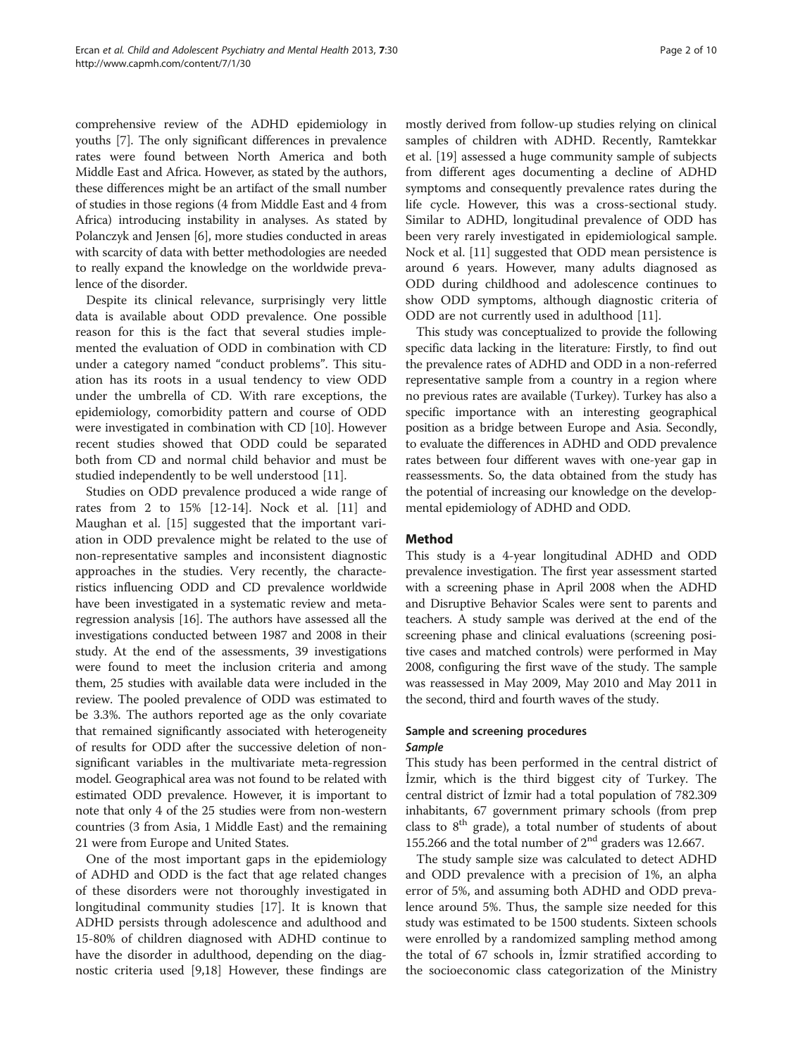comprehensive review of the ADHD epidemiology in youths [\[7](#page-8-0)]. The only significant differences in prevalence rates were found between North America and both Middle East and Africa. However, as stated by the authors, these differences might be an artifact of the small number of studies in those regions (4 from Middle East and 4 from Africa) introducing instability in analyses. As stated by Polanczyk and Jensen [[6](#page-8-0)], more studies conducted in areas with scarcity of data with better methodologies are needed to really expand the knowledge on the worldwide prevalence of the disorder.

Despite its clinical relevance, surprisingly very little data is available about ODD prevalence. One possible reason for this is the fact that several studies implemented the evaluation of ODD in combination with CD under a category named "conduct problems". This situation has its roots in a usual tendency to view ODD under the umbrella of CD. With rare exceptions, the epidemiology, comorbidity pattern and course of ODD were investigated in combination with CD [[10\]](#page-8-0). However recent studies showed that ODD could be separated both from CD and normal child behavior and must be studied independently to be well understood [[11](#page-8-0)].

Studies on ODD prevalence produced a wide range of rates from 2 to 15% [[12](#page-8-0)-[14\]](#page-8-0). Nock et al. [\[11\]](#page-8-0) and Maughan et al. [\[15\]](#page-8-0) suggested that the important variation in ODD prevalence might be related to the use of non-representative samples and inconsistent diagnostic approaches in the studies. Very recently, the characteristics influencing ODD and CD prevalence worldwide have been investigated in a systematic review and metaregression analysis [\[16](#page-8-0)]. The authors have assessed all the investigations conducted between 1987 and 2008 in their study. At the end of the assessments, 39 investigations were found to meet the inclusion criteria and among them, 25 studies with available data were included in the review. The pooled prevalence of ODD was estimated to be 3.3%. The authors reported age as the only covariate that remained significantly associated with heterogeneity of results for ODD after the successive deletion of nonsignificant variables in the multivariate meta-regression model. Geographical area was not found to be related with estimated ODD prevalence. However, it is important to note that only 4 of the 25 studies were from non-western countries (3 from Asia, 1 Middle East) and the remaining 21 were from Europe and United States.

One of the most important gaps in the epidemiology of ADHD and ODD is the fact that age related changes of these disorders were not thoroughly investigated in longitudinal community studies [[17\]](#page-8-0). It is known that ADHD persists through adolescence and adulthood and 15-80% of children diagnosed with ADHD continue to have the disorder in adulthood, depending on the diagnostic criteria used [[9,18\]](#page-8-0) However, these findings are

mostly derived from follow-up studies relying on clinical samples of children with ADHD. Recently, Ramtekkar et al. [[19](#page-8-0)] assessed a huge community sample of subjects from different ages documenting a decline of ADHD symptoms and consequently prevalence rates during the life cycle. However, this was a cross-sectional study. Similar to ADHD, longitudinal prevalence of ODD has been very rarely investigated in epidemiological sample. Nock et al. [[11](#page-8-0)] suggested that ODD mean persistence is around 6 years. However, many adults diagnosed as ODD during childhood and adolescence continues to show ODD symptoms, although diagnostic criteria of ODD are not currently used in adulthood [[11\]](#page-8-0).

This study was conceptualized to provide the following specific data lacking in the literature: Firstly, to find out the prevalence rates of ADHD and ODD in a non-referred representative sample from a country in a region where no previous rates are available (Turkey). Turkey has also a specific importance with an interesting geographical position as a bridge between Europe and Asia. Secondly, to evaluate the differences in ADHD and ODD prevalence rates between four different waves with one-year gap in reassessments. So, the data obtained from the study has the potential of increasing our knowledge on the developmental epidemiology of ADHD and ODD.

# Method

This study is a 4-year longitudinal ADHD and ODD prevalence investigation. The first year assessment started with a screening phase in April 2008 when the ADHD and Disruptive Behavior Scales were sent to parents and teachers. A study sample was derived at the end of the screening phase and clinical evaluations (screening positive cases and matched controls) were performed in May 2008, configuring the first wave of the study. The sample was reassessed in May 2009, May 2010 and May 2011 in the second, third and fourth waves of the study.

# Sample and screening procedures Sample

This study has been performed in the central district of İzmir, which is the third biggest city of Turkey. The central district of İzmir had a total population of 782.309 inhabitants, 67 government primary schools (from prep class to  $8<sup>th</sup>$  grade), a total number of students of about 155.266 and the total number of  $2<sup>nd</sup>$  graders was 12.667.

The study sample size was calculated to detect ADHD and ODD prevalence with a precision of 1%, an alpha error of 5%, and assuming both ADHD and ODD prevalence around 5%. Thus, the sample size needed for this study was estimated to be 1500 students. Sixteen schools were enrolled by a randomized sampling method among the total of 67 schools in, İzmir stratified according to the socioeconomic class categorization of the Ministry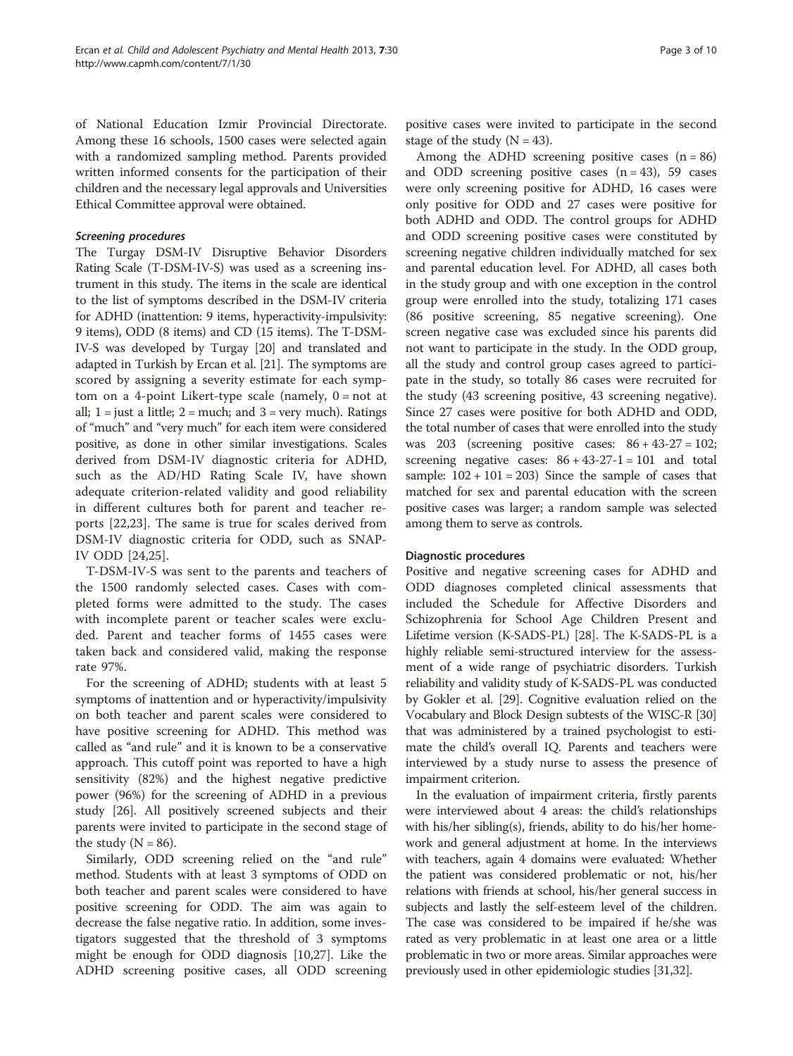of National Education Izmir Provincial Directorate. Among these 16 schools, 1500 cases were selected again with a randomized sampling method. Parents provided written informed consents for the participation of their children and the necessary legal approvals and Universities Ethical Committee approval were obtained.

# Screening procedures

The Turgay DSM-IV Disruptive Behavior Disorders Rating Scale (T-DSM-IV-S) was used as a screening instrument in this study. The items in the scale are identical to the list of symptoms described in the DSM-IV criteria for ADHD (inattention: 9 items, hyperactivity-impulsivity: 9 items), ODD (8 items) and CD (15 items). The T-DSM-IV-S was developed by Turgay [\[20](#page-8-0)] and translated and adapted in Turkish by Ercan et al. [\[21\]](#page-8-0). The symptoms are scored by assigning a severity estimate for each symptom on a 4-point Likert-type scale (namely,  $0 = not$  at all;  $1 =$  just a little;  $2 =$  much; and  $3 =$  very much). Ratings of "much" and "very much" for each item were considered positive, as done in other similar investigations. Scales derived from DSM-IV diagnostic criteria for ADHD, such as the AD/HD Rating Scale IV, have shown adequate criterion-related validity and good reliability in different cultures both for parent and teacher reports [\[22,23](#page-8-0)]. The same is true for scales derived from DSM-IV diagnostic criteria for ODD, such as SNAP-IV ODD [\[24](#page-8-0),[25](#page-8-0)].

T-DSM-IV-S was sent to the parents and teachers of the 1500 randomly selected cases. Cases with completed forms were admitted to the study. The cases with incomplete parent or teacher scales were excluded. Parent and teacher forms of 1455 cases were taken back and considered valid, making the response rate 97%.

For the screening of ADHD; students with at least 5 symptoms of inattention and or hyperactivity/impulsivity on both teacher and parent scales were considered to have positive screening for ADHD. This method was called as "and rule" and it is known to be a conservative approach. This cutoff point was reported to have a high sensitivity (82%) and the highest negative predictive power (96%) for the screening of ADHD in a previous study [[26](#page-8-0)]. All positively screened subjects and their parents were invited to participate in the second stage of the study  $(N = 86)$ .

Similarly, ODD screening relied on the "and rule" method. Students with at least 3 symptoms of ODD on both teacher and parent scales were considered to have positive screening for ODD. The aim was again to decrease the false negative ratio. In addition, some investigators suggested that the threshold of 3 symptoms might be enough for ODD diagnosis [[10](#page-8-0),[27](#page-8-0)]. Like the ADHD screening positive cases, all ODD screening

positive cases were invited to participate in the second stage of the study  $(N = 43)$ .

Among the ADHD screening positive cases  $(n = 86)$ and ODD screening positive cases  $(n = 43)$ , 59 cases were only screening positive for ADHD, 16 cases were only positive for ODD and 27 cases were positive for both ADHD and ODD. The control groups for ADHD and ODD screening positive cases were constituted by screening negative children individually matched for sex and parental education level. For ADHD, all cases both in the study group and with one exception in the control group were enrolled into the study, totalizing 171 cases (86 positive screening, 85 negative screening). One screen negative case was excluded since his parents did not want to participate in the study. In the ODD group, all the study and control group cases agreed to participate in the study, so totally 86 cases were recruited for the study (43 screening positive, 43 screening negative). Since 27 cases were positive for both ADHD and ODD, the total number of cases that were enrolled into the study was  $203$  (screening positive cases:  $86 + 43-27 = 102$ ; screening negative cases:  $86 + 43-27-1 = 101$  and total sample:  $102 + 101 = 203$ ) Since the sample of cases that matched for sex and parental education with the screen positive cases was larger; a random sample was selected among them to serve as controls.

# Diagnostic procedures

Positive and negative screening cases for ADHD and ODD diagnoses completed clinical assessments that included the Schedule for Affective Disorders and Schizophrenia for School Age Children Present and Lifetime version (K-SADS-PL) [[28](#page-8-0)]. The K-SADS-PL is a highly reliable semi-structured interview for the assessment of a wide range of psychiatric disorders. Turkish reliability and validity study of K-SADS-PL was conducted by Gokler et al. [[29](#page-8-0)]. Cognitive evaluation relied on the Vocabulary and Block Design subtests of the WISC-R [[30](#page-8-0)] that was administered by a trained psychologist to estimate the child's overall IQ. Parents and teachers were interviewed by a study nurse to assess the presence of impairment criterion.

In the evaluation of impairment criteria, firstly parents were interviewed about 4 areas: the child's relationships with his/her sibling(s), friends, ability to do his/her homework and general adjustment at home. In the interviews with teachers, again 4 domains were evaluated: Whether the patient was considered problematic or not, his/her relations with friends at school, his/her general success in subjects and lastly the self-esteem level of the children. The case was considered to be impaired if he/she was rated as very problematic in at least one area or a little problematic in two or more areas. Similar approaches were previously used in other epidemiologic studies [\[31](#page-8-0),[32](#page-8-0)].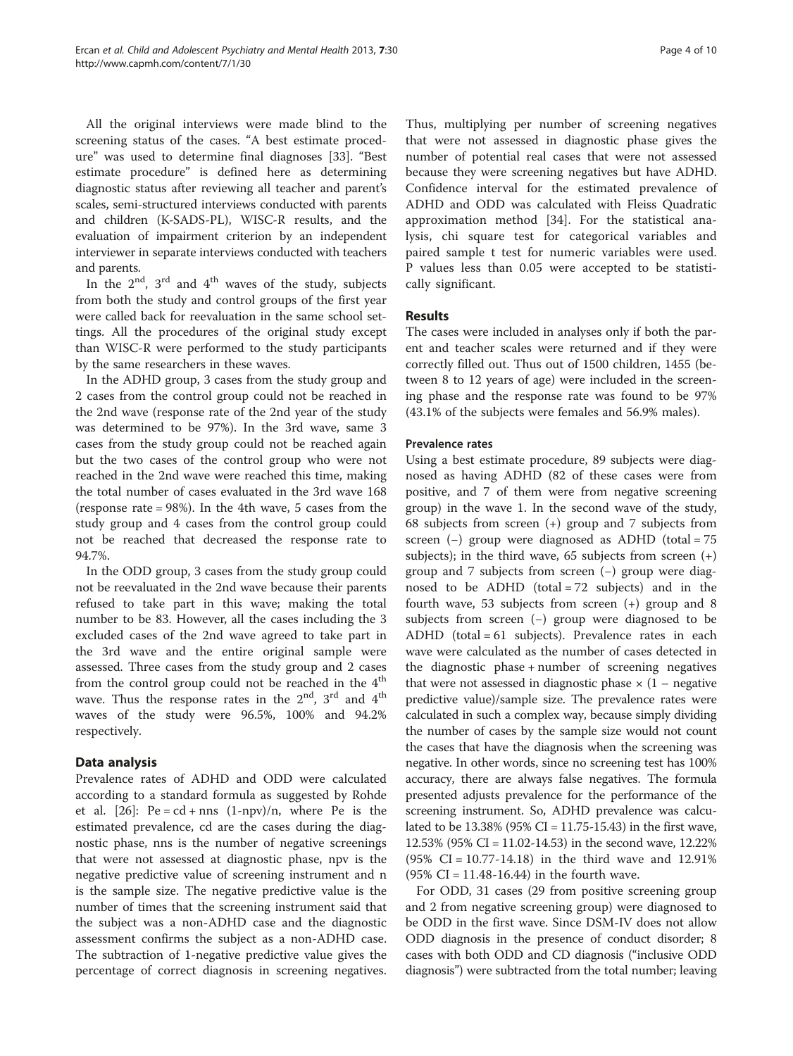All the original interviews were made blind to the screening status of the cases. "A best estimate procedure" was used to determine final diagnoses [\[33\]](#page-8-0). "Best estimate procedure" is defined here as determining diagnostic status after reviewing all teacher and parent's scales, semi-structured interviews conducted with parents and children (K-SADS-PL), WISC-R results, and the evaluation of impairment criterion by an independent interviewer in separate interviews conducted with teachers and parents.

In the  $2^{nd}$ ,  $3^{rd}$  and  $4^{th}$  waves of the study, subjects from both the study and control groups of the first year were called back for reevaluation in the same school settings. All the procedures of the original study except than WISC-R were performed to the study participants by the same researchers in these waves.

In the ADHD group, 3 cases from the study group and 2 cases from the control group could not be reached in the 2nd wave (response rate of the 2nd year of the study was determined to be 97%). In the 3rd wave, same 3 cases from the study group could not be reached again but the two cases of the control group who were not reached in the 2nd wave were reached this time, making the total number of cases evaluated in the 3rd wave 168 (response rate = 98%). In the 4th wave, 5 cases from the study group and 4 cases from the control group could not be reached that decreased the response rate to 94.7%.

In the ODD group, 3 cases from the study group could not be reevaluated in the 2nd wave because their parents refused to take part in this wave; making the total number to be 83. However, all the cases including the 3 excluded cases of the 2nd wave agreed to take part in the 3rd wave and the entire original sample were assessed. Three cases from the study group and 2 cases from the control group could not be reached in the  $4<sup>th</sup>$ wave. Thus the response rates in the  $2<sup>nd</sup>$ ,  $3<sup>rd</sup>$  and  $4<sup>th</sup>$ waves of the study were 96.5%, 100% and 94.2% respectively.

# Data analysis

Prevalence rates of ADHD and ODD were calculated according to a standard formula as suggested by Rohde et al.  $[26]$ : Pe = cd + nns  $(1-npv)/n$ , where Pe is the estimated prevalence, cd are the cases during the diagnostic phase, nns is the number of negative screenings that were not assessed at diagnostic phase, npv is the negative predictive value of screening instrument and n is the sample size. The negative predictive value is the number of times that the screening instrument said that the subject was a non-ADHD case and the diagnostic assessment confirms the subject as a non-ADHD case. The subtraction of 1-negative predictive value gives the percentage of correct diagnosis in screening negatives.

Thus, multiplying per number of screening negatives that were not assessed in diagnostic phase gives the number of potential real cases that were not assessed because they were screening negatives but have ADHD. Confidence interval for the estimated prevalence of ADHD and ODD was calculated with Fleiss Quadratic approximation method [[34\]](#page-8-0). For the statistical analysis, chi square test for categorical variables and paired sample t test for numeric variables were used. P values less than 0.05 were accepted to be statistically significant.

# Results

The cases were included in analyses only if both the parent and teacher scales were returned and if they were correctly filled out. Thus out of 1500 children, 1455 (between 8 to 12 years of age) were included in the screening phase and the response rate was found to be 97% (43.1% of the subjects were females and 56.9% males).

# Prevalence rates

Using a best estimate procedure, 89 subjects were diagnosed as having ADHD (82 of these cases were from positive, and 7 of them were from negative screening group) in the wave 1. In the second wave of the study, 68 subjects from screen (+) group and 7 subjects from screen (−) group were diagnosed as ADHD (total = 75 subjects); in the third wave,  $65$  subjects from screen  $(+)$ group and 7 subjects from screen (−) group were diagnosed to be ADHD (total  $= 72$  subjects) and in the fourth wave, 53 subjects from screen (+) group and 8 subjects from screen (−) group were diagnosed to be ADHD (total = 61 subjects). Prevalence rates in each wave were calculated as the number of cases detected in the diagnostic phase + number of screening negatives that were not assessed in diagnostic phase  $\times$  (1 – negative predictive value)/sample size. The prevalence rates were calculated in such a complex way, because simply dividing the number of cases by the sample size would not count the cases that have the diagnosis when the screening was negative. In other words, since no screening test has 100% accuracy, there are always false negatives. The formula presented adjusts prevalence for the performance of the screening instrument. So, ADHD prevalence was calculated to be  $13.38\%$  (95% CI = 11.75-15.43) in the first wave, 12.53% (95% CI = 11.02-14.53) in the second wave, 12.22% (95% CI = 10.77-14.18) in the third wave and 12.91%  $(95\% \text{ CI} = 11.48 - 16.44)$  in the fourth wave.

For ODD, 31 cases (29 from positive screening group and 2 from negative screening group) were diagnosed to be ODD in the first wave. Since DSM-IV does not allow ODD diagnosis in the presence of conduct disorder; 8 cases with both ODD and CD diagnosis ("inclusive ODD diagnosis") were subtracted from the total number; leaving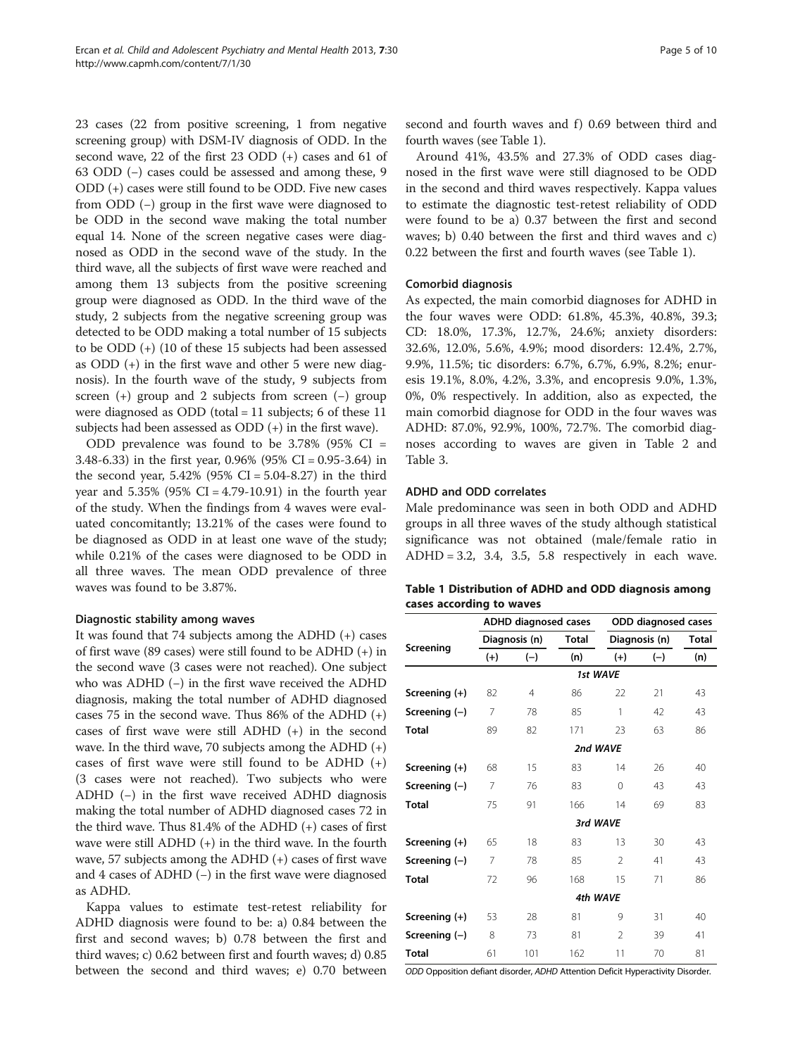23 cases (22 from positive screening, 1 from negative screening group) with DSM-IV diagnosis of ODD. In the second wave, 22 of the first 23 ODD (+) cases and 61 of 63 ODD (−) cases could be assessed and among these, 9 ODD (+) cases were still found to be ODD. Five new cases from ODD (−) group in the first wave were diagnosed to be ODD in the second wave making the total number equal 14. None of the screen negative cases were diagnosed as ODD in the second wave of the study. In the third wave, all the subjects of first wave were reached and among them 13 subjects from the positive screening group were diagnosed as ODD. In the third wave of the study, 2 subjects from the negative screening group was detected to be ODD making a total number of 15 subjects to be ODD (+) (10 of these 15 subjects had been assessed as ODD (+) in the first wave and other 5 were new diagnosis). In the fourth wave of the study, 9 subjects from screen (+) group and 2 subjects from screen (−) group

subjects had been assessed as ODD (+) in the first wave). ODD prevalence was found to be  $3.78\%$  (95% CI = 3.48-6.33) in the first year, 0.96% (95% CI = 0.95-3.64) in the second year,  $5.42\%$  (95% CI =  $5.04 - 8.27$ ) in the third year and  $5.35\%$  (95% CI = 4.79-10.91) in the fourth year of the study. When the findings from 4 waves were evaluated concomitantly; 13.21% of the cases were found to be diagnosed as ODD in at least one wave of the study; while 0.21% of the cases were diagnosed to be ODD in all three waves. The mean ODD prevalence of three waves was found to be 3.87%.

were diagnosed as ODD (total = 11 subjects; 6 of these 11

# Diagnostic stability among waves

It was found that 74 subjects among the ADHD (+) cases of first wave (89 cases) were still found to be ADHD (+) in the second wave (3 cases were not reached). One subject who was ADHD (−) in the first wave received the ADHD diagnosis, making the total number of ADHD diagnosed cases 75 in the second wave. Thus 86% of the ADHD (+) cases of first wave were still ADHD (+) in the second wave. In the third wave, 70 subjects among the ADHD (+) cases of first wave were still found to be ADHD  $(+)$ (3 cases were not reached). Two subjects who were ADHD (−) in the first wave received ADHD diagnosis making the total number of ADHD diagnosed cases 72 in the third wave. Thus 81.4% of the ADHD (+) cases of first wave were still ADHD (+) in the third wave. In the fourth wave, 57 subjects among the ADHD (+) cases of first wave and 4 cases of ADHD (−) in the first wave were diagnosed as ADHD.

Kappa values to estimate test-retest reliability for ADHD diagnosis were found to be: a) 0.84 between the first and second waves; b) 0.78 between the first and third waves; c) 0.62 between first and fourth waves; d) 0.85 between the second and third waves; e) 0.70 between

second and fourth waves and f) 0.69 between third and fourth waves (see Table 1).

Around 41%, 43.5% and 27.3% of ODD cases diagnosed in the first wave were still diagnosed to be ODD in the second and third waves respectively. Kappa values to estimate the diagnostic test-retest reliability of ODD were found to be a) 0.37 between the first and second waves; b) 0.40 between the first and third waves and c) 0.22 between the first and fourth waves (see Table 1).

#### Comorbid diagnosis

As expected, the main comorbid diagnoses for ADHD in the four waves were ODD: 61.8%, 45.3%, 40.8%, 39.3; CD: 18.0%, 17.3%, 12.7%, 24.6%; anxiety disorders: 32.6%, 12.0%, 5.6%, 4.9%; mood disorders: 12.4%, 2.7%, 9.9%, 11.5%; tic disorders: 6.7%, 6.7%, 6.9%, 8.2%; enuresis 19.1%, 8.0%, 4.2%, 3.3%, and encopresis 9.0%, 1.3%, 0%, 0% respectively. In addition, also as expected, the main comorbid diagnose for ODD in the four waves was ADHD: 87.0%, 92.9%, 100%, 72.7%. The comorbid diagnoses according to waves are given in Table [2](#page-5-0) and Table [3.](#page-5-0)

#### ADHD and ODD correlates

Male predominance was seen in both ODD and ADHD groups in all three waves of the study although statistical significance was not obtained (male/female ratio in  $ADHD = 3.2, 3.4, 3.5, 5.8$  respectively in each wave.

| Table 1 Distribution of ADHD and ODD diagnosis among |  |  |
|------------------------------------------------------|--|--|
| cases according to waves                             |  |  |

|                 |                | <b>ADHD diagnosed cases</b> |              |                | ODD diagnosed cases |              |  |  |  |
|-----------------|----------------|-----------------------------|--------------|----------------|---------------------|--------------|--|--|--|
|                 |                | Diagnosis (n)               | <b>Total</b> | Diagnosis (n)  |                     | <b>Total</b> |  |  |  |
| Screening       | $(+)$          | $(-)$                       | (n)          | $(+)$          | $(-)$               | (n)          |  |  |  |
|                 |                |                             |              | 1st WAVE       |                     |              |  |  |  |
| Screening (+)   | 82             | $\overline{4}$              | 86           | 22             | 21                  | 43           |  |  |  |
| Screening $(-)$ | 7              | 78                          | 85           | 1              | 42                  | 43           |  |  |  |
| <b>Total</b>    | 89             | 82                          | 171          | 23             | 63                  | 86           |  |  |  |
|                 |                |                             | 2nd WAVE     |                |                     |              |  |  |  |
| Screening (+)   | 68             | 15                          | 83           | 14             | 26                  | 40           |  |  |  |
| Screening $(-)$ | 7              | 76                          | 83           | $\Omega$       | 43                  | 43           |  |  |  |
| <b>Total</b>    | 75             | 91                          | 166          | 14             | 69                  | 83           |  |  |  |
|                 |                |                             | 3rd WAVE     |                |                     |              |  |  |  |
| Screening (+)   | 65             | 18                          | 83           | 13             | 30                  | 43           |  |  |  |
| Screening $(-)$ | $\overline{7}$ | 78                          | 85           | $\mathfrak{D}$ | 41                  | 43           |  |  |  |
| Total           | 72             | 96                          | 168          | 15             | 71                  | 86           |  |  |  |
|                 |                | 4th WAVE                    |              |                |                     |              |  |  |  |
| Screening (+)   | 53             | 28                          | 81           | 9              | 31                  | 40           |  |  |  |
| Screening $(-)$ | 8              | 73                          | 81           | $\mathfrak{D}$ | 39                  | 41           |  |  |  |
| Total           | 61             | 101                         | 162          | 11             | 70                  | 81           |  |  |  |

ODD Opposition defiant disorder, ADHD Attention Deficit Hyperactivity Disorder.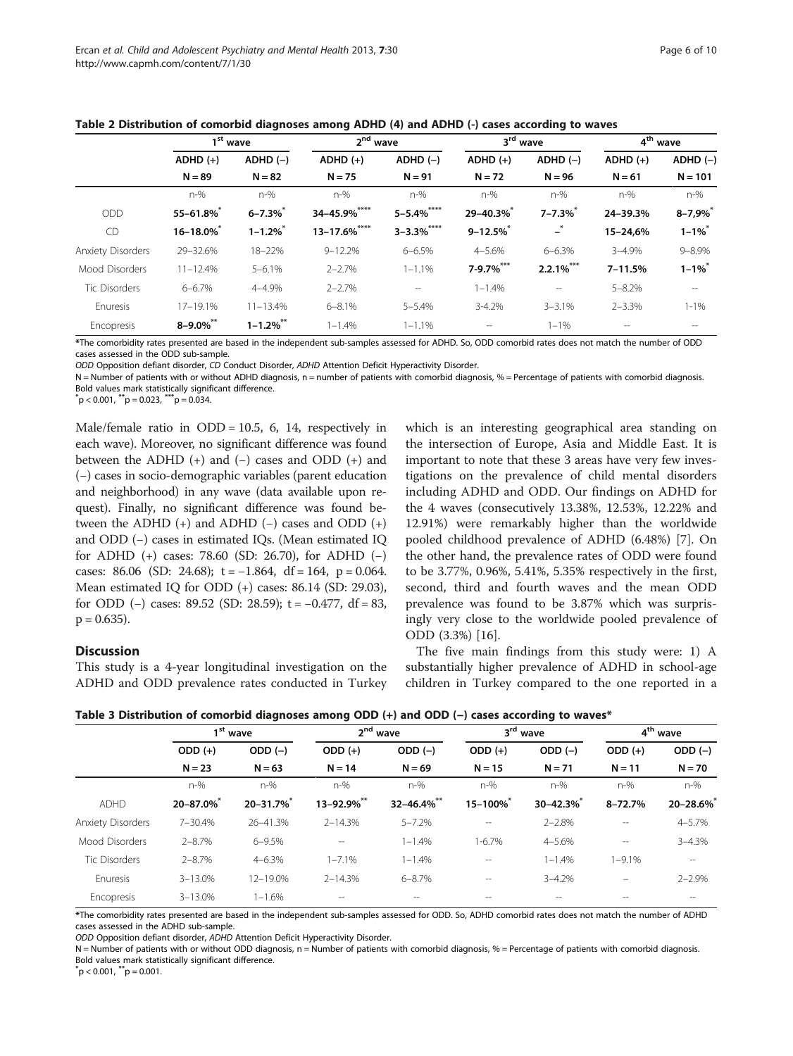<span id="page-5-0"></span>

| Table 2 Distribution of comorbid diagnoses among ADHD (4) and ADHD (-) cases according to waves |  |  |  |
|-------------------------------------------------------------------------------------------------|--|--|--|
|-------------------------------------------------------------------------------------------------|--|--|--|

|                          | 1 <sup>st</sup> wave   |                | 2 <sup>nd</sup> wave   |                        | 3 <sup>rd</sup> wave     |                        | 4 <sup>th</sup> wave   |                         |
|--------------------------|------------------------|----------------|------------------------|------------------------|--------------------------|------------------------|------------------------|-------------------------|
|                          | $ADHD (+)$<br>$N = 89$ | $ADHD (-)$     | $ADHD (+)$<br>$N = 75$ | $ADHD (-)$<br>$N = 91$ | $ADHD (+)$<br>$N = 72$   | $ADHD (-)$<br>$N = 96$ | $ADHD (+)$<br>$N = 61$ | $ADHD (-)$<br>$N = 101$ |
|                          |                        | $N = 82$       |                        |                        |                          |                        |                        |                         |
|                          | $n-%$                  | $n-%$          | $n-%$                  | $n-%$                  | $n-%$                    | $n-%$                  | $n-%$                  | $n-%$                   |
| <b>ODD</b>               | $55 - 61.8\%$          | $6 - 7.3\%$    | 34-45.9%****           | $5 - 5.4%$ ****        | 29-40.3%*                | $7 - 7.3\%$            | 24-39.3%               | $8 - 7,9%$              |
| CD                       | 16-18.0%               | $1 - 1.2\%$    | $13 - 17.6\%$ ****     | $3 - 3.3%$ ****        | $9 - 12.5\%$             | $\mathbf{L}^*$         | 15-24,6%               | $1 - 1\%$               |
| <b>Anxiety Disorders</b> | 29-32.6%               | 18-22%         | $9 - 12.2%$            | $6 - 6.5%$             | $4 - 5.6%$               | $6 - 6.3%$             | $3 - 4.9%$             | $9 - 8.9\%$             |
| Mood Disorders           | $11 - 12.4%$           | $5 - 6.1%$     | $2 - 2.7%$             | $1 - 1.1%$             | 7-9.7%***                | $2.2.1\%$ ***          | $7 - 11.5%$            | $1 - 1\%$               |
| <b>Tic Disorders</b>     | $6 - 6.7%$             | $4 - 4.9%$     | $2 - 2.7%$             | $- -$                  | $1 - 1.4%$               | $- -$                  | $5 - 8.2%$             | $\qquad \qquad -$       |
| Enuresis                 | 17-19.1%               | $11 - 13.4%$   | $6 - 8.1%$             | $5 - 5.4%$             | $3 - 4.2%$               | $3 - 3.1%$             | $2 - 3.3%$             | $1 - 1\%$               |
| Encopresis               | $8 - 9.0\%$ **         | $1 - 1.2\%$ ** | $1 - 1.4%$             | $1 - 1.1%$             | $\overline{\phantom{a}}$ | $1 - 1\%$              |                        |                         |

\*The comorbidity rates presented are based in the independent sub-samples assessed for ADHD. So, ODD comorbid rates does not match the number of ODD cases assessed in the ODD sub-sample.

ODD Opposition defiant disorder, CD Conduct Disorder, ADHD Attention Deficit Hyperactivity Disorder.

N = Number of patients with or without ADHD diagnosis, n = number of patients with comorbid diagnosis, % = Percentage of patients with comorbid diagnosis. Bold values mark statistically significant difference.

 $^{*}p$  < 0.001,  $^{**}p$  = 0.023,  $^{***}p$  = 0.034.

Male/female ratio in  $ODD = 10.5$ , 6, 14, respectively in each wave). Moreover, no significant difference was found between the ADHD  $(+)$  and  $(-)$  cases and ODD  $(+)$  and (−) cases in socio-demographic variables (parent education and neighborhood) in any wave (data available upon request). Finally, no significant difference was found between the ADHD  $(+)$  and ADHD  $(-)$  cases and ODD  $(+)$ and ODD (−) cases in estimated IQs. (Mean estimated IQ for ADHD (+) cases: 78.60 (SD: 26.70), for ADHD (−) cases: 86.06 (SD: 24.68);  $t = -1.864$ ,  $df = 164$ ,  $p = 0.064$ . Mean estimated IQ for ODD (+) cases: 86.14 (SD: 29.03), for ODD  $(-)$  cases: 89.52 (SD: 28.59); t = -0.477, df = 83,  $p = 0.635$ ).

### **Discussion**

This study is a 4-year longitudinal investigation on the ADHD and ODD prevalence rates conducted in Turkey which is an interesting geographical area standing on the intersection of Europe, Asia and Middle East. It is important to note that these 3 areas have very few investigations on the prevalence of child mental disorders including ADHD and ODD. Our findings on ADHD for the 4 waves (consecutively 13.38%, 12.53%, 12.22% and 12.91%) were remarkably higher than the worldwide pooled childhood prevalence of ADHD (6.48%) [\[7](#page-8-0)]. On the other hand, the prevalence rates of ODD were found to be 3.77%, 0.96%, 5.41%, 5.35% respectively in the first, second, third and fourth waves and the mean ODD prevalence was found to be 3.87% which was surprisingly very close to the worldwide pooled prevalence of ODD (3.3%) [[16\]](#page-8-0).

The five main findings from this study were: 1) A substantially higher prevalence of ADHD in school-age children in Turkey compared to the one reported in a

|                          |                      | -          | -                       |                  |                      | -          |                      |               |
|--------------------------|----------------------|------------|-------------------------|------------------|----------------------|------------|----------------------|---------------|
|                          | 1 <sup>st</sup> wave |            | $2^{\text{nd}}$<br>wave |                  | 3 <sup>rd</sup> wave |            | 4 <sup>th</sup> wave |               |
|                          | $ODD (+)$            | ODD $(-)$  | $ODD (+)$               | $ODD (-)$        | $ODD (+)$            | $ODD (-)$  | $ODD (+)$            | $ODD (-)$     |
|                          | $N = 23$             | $N = 63$   | $N = 14$                | $N = 69$         | $N = 15$             | $N = 71$   | $N = 11$             | $N = 70$      |
|                          | $n-%$                | $n-%$      | $n-%$                   | $n-%$            | $n-%$                | $n-%$      | $n-%$                | $n-%$         |
| <b>ADHD</b>              | 20-87.0%             | 20-31.7%   | 13-92.9%**              | $32 - 46.4\%$ ** | 15-100%              | 30-42.3%   | $8 - 72.7%$          | $20 - 28.6\%$ |
| <b>Anxiety Disorders</b> | 7-30.4%              | 26-41.3%   | $2 - 14.3%$             | $5 - 7.2%$       | --                   | $2 - 2.8%$ | --                   | $4 - 5.7%$    |
| Mood Disorders           | $2 - 8.7%$           | $6 - 9.5%$ | $-$                     | $1 - 1.4%$       | $1 - 6.7%$           | $4 - 5.6%$ | $- -$                | $3 - 4.3%$    |
| <b>Tic Disorders</b>     | $2 - 8.7%$           | $4 - 6.3%$ | $1 - 7.1%$              | $1 - 1.4%$       | --                   | $1 - 1.4%$ | $1 - 9.1\%$          | $- -$         |
| Enuresis                 | $3 - 13.0%$          | 12-19.0%   | $2 - 14.3%$             | $6 - 8.7%$       | $-$                  | $3 - 4.2%$ |                      | $2 - 2.9%$    |
| Encopresis               | $3 - 13.0%$          | $1 - 1.6%$ |                         |                  | --                   | $- -$      |                      |               |

Table 3 Distribution of comorbid diagnoses among ODD (+) and ODD (-) cases according to waves\*

\*The comorbidity rates presented are based in the independent sub-samples assessed for ODD. So, ADHD comorbid rates does not match the number of ADHD cases assessed in the ADHD sub-sample.

ODD Opposition defiant disorder, ADHD Attention Deficit Hyperactivity Disorder.

N = Number of patients with or without ODD diagnosis, n = Number of patients with comorbid diagnosis, % = Percentage of patients with comorbid diagnosis. Bold values mark statistically significant difference.

 $p < 0.001, p^*p = 0.001.$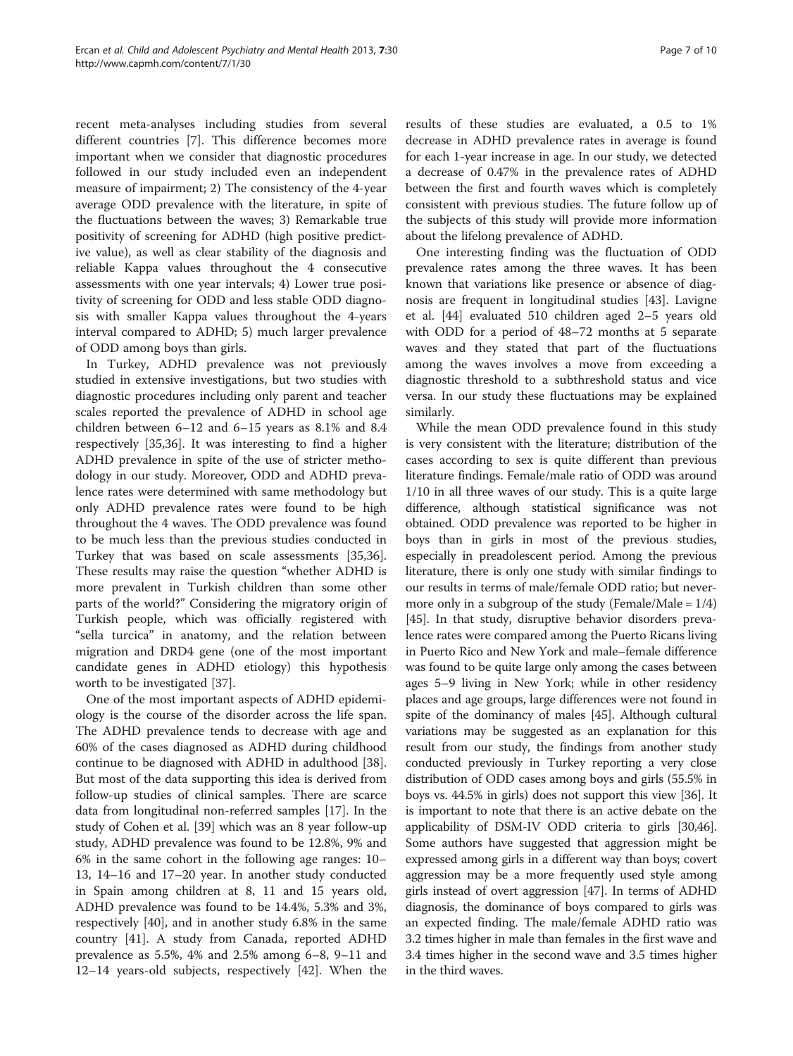recent meta-analyses including studies from several different countries [\[7](#page-8-0)]. This difference becomes more important when we consider that diagnostic procedures followed in our study included even an independent measure of impairment; 2) The consistency of the 4-year average ODD prevalence with the literature, in spite of the fluctuations between the waves; 3) Remarkable true positivity of screening for ADHD (high positive predictive value), as well as clear stability of the diagnosis and reliable Kappa values throughout the 4 consecutive assessments with one year intervals; 4) Lower true positivity of screening for ODD and less stable ODD diagnosis with smaller Kappa values throughout the 4-years interval compared to ADHD; 5) much larger prevalence of ODD among boys than girls.

In Turkey, ADHD prevalence was not previously studied in extensive investigations, but two studies with diagnostic procedures including only parent and teacher scales reported the prevalence of ADHD in school age children between 6–12 and 6–15 years as 8.1% and 8.4 respectively [[35,36\]](#page-8-0). It was interesting to find a higher ADHD prevalence in spite of the use of stricter methodology in our study. Moreover, ODD and ADHD prevalence rates were determined with same methodology but only ADHD prevalence rates were found to be high throughout the 4 waves. The ODD prevalence was found to be much less than the previous studies conducted in Turkey that was based on scale assessments [\[35,36](#page-8-0)]. These results may raise the question "whether ADHD is more prevalent in Turkish children than some other parts of the world?" Considering the migratory origin of Turkish people, which was officially registered with "sella turcica" in anatomy, and the relation between migration and DRD4 gene (one of the most important candidate genes in ADHD etiology) this hypothesis worth to be investigated [[37\]](#page-8-0).

One of the most important aspects of ADHD epidemiology is the course of the disorder across the life span. The ADHD prevalence tends to decrease with age and 60% of the cases diagnosed as ADHD during childhood continue to be diagnosed with ADHD in adulthood [\[38](#page-8-0)]. But most of the data supporting this idea is derived from follow-up studies of clinical samples. There are scarce data from longitudinal non-referred samples [[17\]](#page-8-0). In the study of Cohen et al. [[39\]](#page-8-0) which was an 8 year follow-up study, ADHD prevalence was found to be 12.8%, 9% and 6% in the same cohort in the following age ranges: 10– 13, 14–16 and 17–20 year. In another study conducted in Spain among children at 8, 11 and 15 years old, ADHD prevalence was found to be 14.4%, 5.3% and 3%, respectively [[40\]](#page-8-0), and in another study 6.8% in the same country [[41\]](#page-8-0). A study from Canada, reported ADHD prevalence as 5.5%, 4% and 2.5% among 6–8, 9–11 and 12–14 years-old subjects, respectively [[42\]](#page-8-0). When the

results of these studies are evaluated, a 0.5 to 1% decrease in ADHD prevalence rates in average is found for each 1-year increase in age. In our study, we detected a decrease of 0.47% in the prevalence rates of ADHD between the first and fourth waves which is completely consistent with previous studies. The future follow up of the subjects of this study will provide more information about the lifelong prevalence of ADHD.

One interesting finding was the fluctuation of ODD prevalence rates among the three waves. It has been known that variations like presence or absence of diagnosis are frequent in longitudinal studies [\[43](#page-8-0)]. Lavigne et al. [[44\]](#page-8-0) evaluated 510 children aged 2–5 years old with ODD for a period of 48–72 months at 5 separate waves and they stated that part of the fluctuations among the waves involves a move from exceeding a diagnostic threshold to a subthreshold status and vice versa. In our study these fluctuations may be explained similarly.

While the mean ODD prevalence found in this study is very consistent with the literature; distribution of the cases according to sex is quite different than previous literature findings. Female/male ratio of ODD was around 1/10 in all three waves of our study. This is a quite large difference, although statistical significance was not obtained. ODD prevalence was reported to be higher in boys than in girls in most of the previous studies, especially in preadolescent period. Among the previous literature, there is only one study with similar findings to our results in terms of male/female ODD ratio; but nevermore only in a subgroup of the study (Female/Male =  $1/4$ ) [[45](#page-8-0)]. In that study, disruptive behavior disorders prevalence rates were compared among the Puerto Ricans living in Puerto Rico and New York and male–female difference was found to be quite large only among the cases between ages 5–9 living in New York; while in other residency places and age groups, large differences were not found in spite of the dominancy of males [\[45\]](#page-8-0). Although cultural variations may be suggested as an explanation for this result from our study, the findings from another study conducted previously in Turkey reporting a very close distribution of ODD cases among boys and girls (55.5% in boys vs. 44.5% in girls) does not support this view [\[36\]](#page-8-0). It is important to note that there is an active debate on the applicability of DSM-IV ODD criteria to girls [\[30,](#page-8-0)[46](#page-9-0)]. Some authors have suggested that aggression might be expressed among girls in a different way than boys; covert aggression may be a more frequently used style among girls instead of overt aggression [\[47\]](#page-9-0). In terms of ADHD diagnosis, the dominance of boys compared to girls was an expected finding. The male/female ADHD ratio was 3.2 times higher in male than females in the first wave and 3.4 times higher in the second wave and 3.5 times higher in the third waves.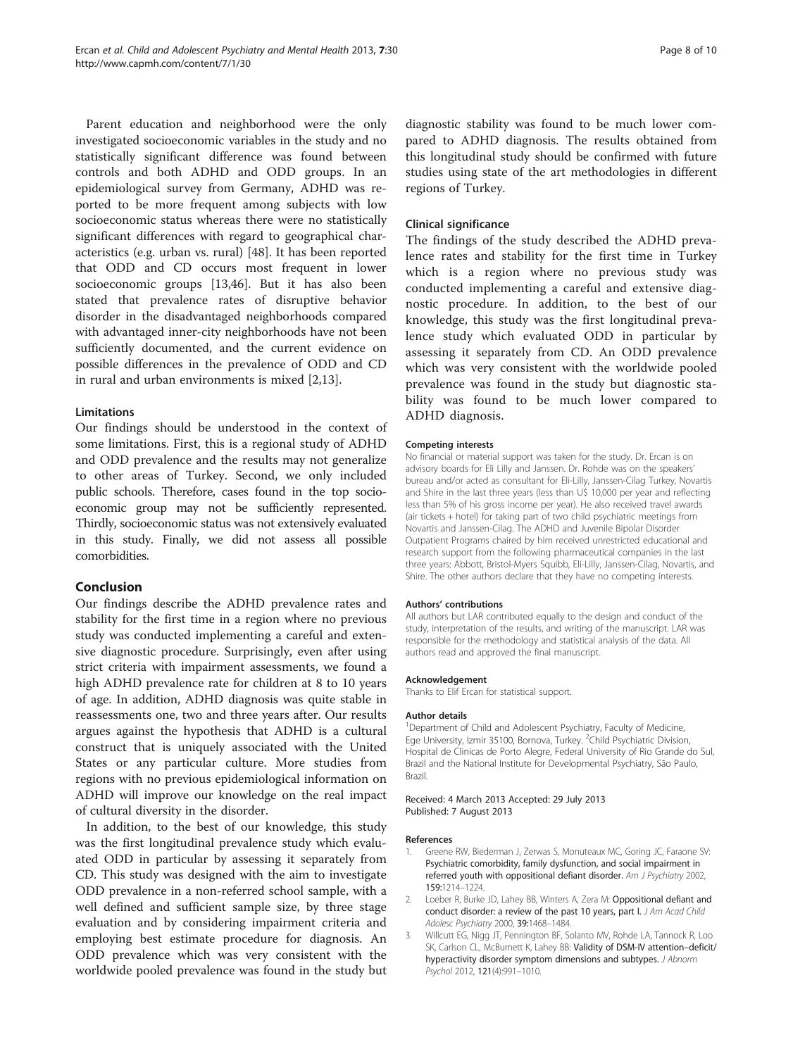<span id="page-7-0"></span>Parent education and neighborhood were the only investigated socioeconomic variables in the study and no statistically significant difference was found between controls and both ADHD and ODD groups. In an epidemiological survey from Germany, ADHD was reported to be more frequent among subjects with low socioeconomic status whereas there were no statistically significant differences with regard to geographical characteristics (e.g. urban vs. rural) [\[48\]](#page-9-0). It has been reported that ODD and CD occurs most frequent in lower socioeconomic groups [[13](#page-8-0),[46](#page-9-0)]. But it has also been stated that prevalence rates of disruptive behavior disorder in the disadvantaged neighborhoods compared with advantaged inner-city neighborhoods have not been sufficiently documented, and the current evidence on possible differences in the prevalence of ODD and CD in rural and urban environments is mixed [2,[13\]](#page-8-0).

#### Limitations

Our findings should be understood in the context of some limitations. First, this is a regional study of ADHD and ODD prevalence and the results may not generalize to other areas of Turkey. Second, we only included public schools. Therefore, cases found in the top socioeconomic group may not be sufficiently represented. Thirdly, socioeconomic status was not extensively evaluated in this study. Finally, we did not assess all possible comorbidities.

# Conclusion

Our findings describe the ADHD prevalence rates and stability for the first time in a region where no previous study was conducted implementing a careful and extensive diagnostic procedure. Surprisingly, even after using strict criteria with impairment assessments, we found a high ADHD prevalence rate for children at 8 to 10 years of age. In addition, ADHD diagnosis was quite stable in reassessments one, two and three years after. Our results argues against the hypothesis that ADHD is a cultural construct that is uniquely associated with the United States or any particular culture. More studies from regions with no previous epidemiological information on ADHD will improve our knowledge on the real impact of cultural diversity in the disorder.

In addition, to the best of our knowledge, this study was the first longitudinal prevalence study which evaluated ODD in particular by assessing it separately from CD. This study was designed with the aim to investigate ODD prevalence in a non-referred school sample, with a well defined and sufficient sample size, by three stage evaluation and by considering impairment criteria and employing best estimate procedure for diagnosis. An ODD prevalence which was very consistent with the worldwide pooled prevalence was found in the study but diagnostic stability was found to be much lower compared to ADHD diagnosis. The results obtained from this longitudinal study should be confirmed with future studies using state of the art methodologies in different regions of Turkey.

# Clinical significance

The findings of the study described the ADHD prevalence rates and stability for the first time in Turkey which is a region where no previous study was conducted implementing a careful and extensive diagnostic procedure. In addition, to the best of our knowledge, this study was the first longitudinal prevalence study which evaluated ODD in particular by assessing it separately from CD. An ODD prevalence which was very consistent with the worldwide pooled prevalence was found in the study but diagnostic stability was found to be much lower compared to ADHD diagnosis.

#### Competing interests

No financial or material support was taken for the study. Dr. Ercan is on advisory boards for Eli Lilly and Janssen. Dr. Rohde was on the speakers' bureau and/or acted as consultant for Eli-Lilly, Janssen-Cilag Turkey, Novartis and Shire in the last three years (less than U\$ 10,000 per year and reflecting less than 5% of his gross income per year). He also received travel awards (air tickets + hotel) for taking part of two child psychiatric meetings from Novartis and Janssen-Cilag. The ADHD and Juvenile Bipolar Disorder Outpatient Programs chaired by him received unrestricted educational and research support from the following pharmaceutical companies in the last three years: Abbott, Bristol-Myers Squibb, Eli-Lilly, Janssen-Cilag, Novartis, and Shire. The other authors declare that they have no competing interests.

#### Authors' contributions

All authors but LAR contributed equally to the design and conduct of the study, interpretation of the results, and writing of the manuscript. LAR was responsible for the methodology and statistical analysis of the data. All authors read and approved the final manuscript.

#### Acknowledgement

Thanks to Elif Ercan for statistical support.

#### Author details

<sup>1</sup>Department of Child and Adolescent Psychiatry, Faculty of Medicine, Ege University, Izmir 35100, Bornova, Turkey. <sup>2</sup>Child Psychiatric Division, Hospital de Clinicas de Porto Alegre, Federal University of Rio Grande do Sul, Brazil and the National Institute for Developmental Psychiatry, São Paulo, Brazil.

Received: 4 March 2013 Accepted: 29 July 2013 Published: 7 August 2013

#### References

- 1. Greene RW, Biederman J, Zerwas S, Monuteaux MC, Goring JC, Faraone SV: Psychiatric comorbidity, family dysfunction, and social impairment in referred youth with oppositional defiant disorder. Am J Psychiatry 2002, 159:1214–1224.
- 2. Loeber R, Burke JD, Lahey BB, Winters A, Zera M: Oppositional defiant and conduct disorder: a review of the past 10 years, part I. J Am Acad Child Adolesc Psychiatry 2000, 39:1468–1484.
- 3. Willcutt EG, Nigg JT, Pennington BF, Solanto MV, Rohde LA, Tannock R, Loo SK, Carlson CL, McBurnett K, Lahey BB: Validity of DSM-IV attention–deficit/ hyperactivity disorder symptom dimensions and subtypes. J Abnorm Psychol 2012, 121(4):991–1010.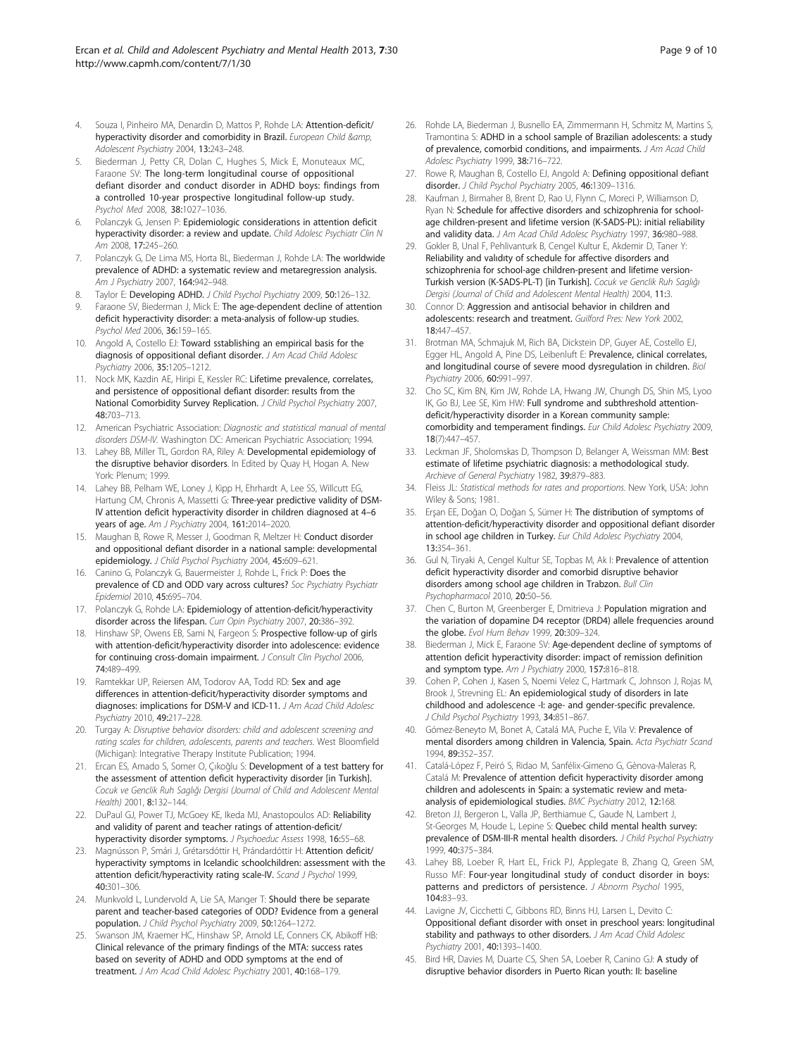- <span id="page-8-0"></span>4. Souza I, Pinheiro MA, Denardin D, Mattos P, Rohde LA: Attention-deficit/ hyperactivity disorder and comorbidity in Brazil. European Child &amp, Adolescent Psychiatry 2004, 13:243–248.
- 5. Biederman J, Petty CR, Dolan C, Hughes S, Mick E, Monuteaux MC, Faraone SV: The long-term longitudinal course of oppositional defiant disorder and conduct disorder in ADHD boys: findings from a controlled 10-year prospective longitudinal follow-up study. Psychol Med 2008, 38:1027–1036.
- Polanczyk G, Jensen P: Epidemiologic considerations in attention deficit hyperactivity disorder: a review and update. Child Adolesc Psychiatr Clin N Am 2008, 17:245–260.
- 7. Polanczyk G, De Lima MS, Horta BL, Biederman J, Rohde LA: The worldwide prevalence of ADHD: a systematic review and metaregression analysis. Am J Psychiatry 2007, 164:942–948.
- 8. Taylor E: Developing ADHD. J Child Psychol Psychiatry 2009, 50:126-132.
- Faraone SV, Biederman J, Mick E: The age-dependent decline of attention deficit hyperactivity disorder: a meta-analysis of follow-up studies. Psychol Med 2006, 36:159–165.
- 10. Angold A, Costello EJ: Toward sstablishing an empirical basis for the diagnosis of oppositional defiant disorder. J Am Acad Child Adolesc Psychiatry 2006, 35:1205–1212.
- 11. Nock MK, Kazdin AE, Hiripi E, Kessler RC: Lifetime prevalence, correlates, and persistence of oppositional defiant disorder: results from the National Comorbidity Survey Replication. J Child Psychol Psychiatry 2007, 48:703–713.
- 12. American Psychiatric Association: Diagnostic and statistical manual of mental disorders DSM-IV. Washington DC: American Psychiatric Association; 1994.
- 13. Lahey BB, Miller TL, Gordon RA, Riley A: Developmental epidemiology of the disruptive behavior disorders. In Edited by Quay H, Hogan A. New York: Plenum; 1999.
- 14. Lahey BB, Pelham WE, Loney J, Kipp H, Ehrhardt A, Lee SS, Willcutt EG, Hartung CM, Chronis A, Massetti G: Three-year predictive validity of DSM-IV attention deficit hyperactivity disorder in children diagnosed at 4–6 years of age. Am J Psychiatry 2004, 161:2014–2020.
- 15. Maughan B, Rowe R, Messer J, Goodman R, Meltzer H: Conduct disorder and oppositional defiant disorder in a national sample: developmental epidemiology. J Child Psychol Psychiatry 2004, 45:609–621.
- 16. Canino G, Polanczyk G, Bauermeister J, Rohde L, Frick P: Does the prevalence of CD and ODD vary across cultures? Soc Psychiatry Psychiatr Epidemiol 2010, 45:695–704.
- 17. Polanczyk G, Rohde LA: Epidemiology of attention-deficit/hyperactivity disorder across the lifespan. Curr Opin Psychiatry 2007, 20:386-392.
- 18. Hinshaw SP, Owens EB, Sami N, Fargeon S: Prospective follow-up of girls with attention-deficit/hyperactivity disorder into adolescence: evidence for continuing cross-domain impairment. J Consult Clin Psychol 2006, 74:489–499.
- 19. Ramtekkar UP, Reiersen AM, Todorov AA, Todd RD: Sex and age differences in attention-deficit/hyperactivity disorder symptoms and diagnoses: implications for DSM-V and ICD-11. J Am Acad Child Adolesc Psychiatry 2010, 49:217–228.
- 20. Turgay A: Disruptive behavior disorders: child and adolescent screening and rating scales for children, adolescents, parents and teachers. West Bloomfield (Michigan): Integrative Therapy Institute Publication; 1994.
- 21. Ercan ES, Amado S, Somer O, Çıkoğlu S: Development of a test battery for the assessment of attention deficit hyperactivity disorder [in Turkish]. Cocuk ve Genclik Ruh Saglığı Dergisi (Journal of Child and Adolescent Mental Health) 2001, 8:132–144.
- 22. DuPaul GJ, Power TJ, McGoey KE, Ikeda MJ, Anastopoulos AD: Reliability and validity of parent and teacher ratings of attention-deficit/ hyperactivity disorder symptoms. J Psychoeduc Assess 1998, 16:55-68.
- 23. Magnússon P, Smári J, Grétarsdóttir H, Prándardóttir H: Attention deficit/ hyperactivity symptoms in Icelandic schoolchildren: assessment with the attention deficit/hyperactivity rating scale-IV. Scand J Psychol 1999, 40:301–306.
- 24. Munkvold L, Lundervold A, Lie SA, Manger T: Should there be separate parent and teacher-based categories of ODD? Evidence from a general population. J Child Psychol Psychiatry 2009, 50:1264–1272.
- 25. Swanson JM, Kraemer HC, Hinshaw SP, Arnold LE, Conners CK, Abikoff HB: Clinical relevance of the primary findings of the MTA: success rates based on severity of ADHD and ODD symptoms at the end of treatment. J Am Acad Child Adolesc Psychiatry 2001, 40:168-179.
- 26. Rohde LA, Biederman J, Busnello EA, Zimmermann H, Schmitz M, Martins S, Tramontina S: ADHD in a school sample of Brazilian adolescents: a study of prevalence, comorbid conditions, and impairments. J Am Acad Child Adolesc Psychiatry 1999, 38:716-722.
- 27. Rowe R, Maughan B, Costello EJ, Angold A: Defining oppositional defiant disorder. J Child Psychol Psychiatry 2005, 46:1309-1316.
- 28. Kaufman J, Birmaher B, Brent D, Rao U, Flynn C, Moreci P, Williamson D, Ryan N: Schedule for affective disorders and schizophrenia for schoolage children-present and lifetime version (K-SADS-PL): initial reliability and validity data. J Am Acad Child Adolesc Psychiatry 1997, 36:980-988.
- Gokler B, Unal F, Pehlivanturk B, Cengel Kultur E, Akdemir D, Taner Y: Reliability and valıdıty of schedule for affective disorders and schizophrenia for school-age children-present and lifetime version-Turkish version (K-SADS-PL-T) [in Turkish]. Cocuk ve Genclik Ruh Saglığı Dergisi (Journal of Child and Adolescent Mental Health) 2004, 11:3.
- 30. Connor D: Aggression and antisocial behavior in children and adolescents: research and treatment. Guilford Pres: New York 2002, 18:447–457.
- 31. Brotman MA, Schmajuk M, Rich BA, Dickstein DP, Guyer AE, Costello EJ, Egger HL, Angold A, Pine DS, Leibenluft E: Prevalence, clinical correlates, and longitudinal course of severe mood dysregulation in children. Biol Psychiatry 2006, 60:991–997.
- 32. Cho SC, Kim BN, Kim JW, Rohde LA, Hwang JW, Chungh DS, Shin MS, Lyoo IK, Go BJ, Lee SE, Kim HW: Full syndrome and subthreshold attentiondeficit/hyperactivity disorder in a Korean community sample: comorbidity and temperament findings. Eur Child Adolesc Psychiatry 2009, 18(7):447–457.
- 33. Leckman JF, Sholomskas D, Thompson D, Belanger A, Weissman MM: Best estimate of lifetime psychiatric diagnosis: a methodological study. Archieve of General Psychiatry 1982, 39:879–883.
- 34. Fleiss JL: Statistical methods for rates and proportions. New York, USA: John Wiley & Sons; 1981.
- 35. Erşan EE, Doğan O, Doğan S, Sümer H: The distribution of symptoms of attention-deficit/hyperactivity disorder and oppositional defiant disorder in school age children in Turkey. Eur Child Adolesc Psychiatry 2004, 13:354–361.
- 36. Gul N, Tiryaki A, Cengel Kultur SE, Topbas M, Ak I: Prevalence of attention deficit hyperactivity disorder and comorbid disruptive behavior disorders among school age children in Trabzon. Bull Clin Psychopharmacol 2010, 20:50–56.
- 37. Chen C, Burton M, Greenberger E, Dmitrieva J: Population migration and the variation of dopamine D4 receptor (DRD4) allele frequencies around the globe. Evol Hum Behav 1999, 20:309–324.
- 38. Biederman J, Mick E, Faraone SV: Age-dependent decline of symptoms of attention deficit hyperactivity disorder: impact of remission definition and symptom type. Am J Psychiatry 2000, 157:816–818.
- 39. Cohen P, Cohen J, Kasen S, Noemi Velez C, Hartmark C, Johnson J, Rojas M, Brook J, Strevning EL: An epidemiological study of disorders in late childhood and adolescence -I: age- and gender-specific prevalence. J Child Psychol Psychiatry 1993, 34:851-867.
- 40. Gómez-Beneyto M, Bonet A, Catalá MA, Puche E, Vila V: Prevalence of mental disorders among children in Valencia, Spain. Acta Psychiatr Scand 1994, 89:352–357.
- 41. Catalá-López F, Peiró S, Ridao M, Sanfélix-Gimeno G, Gènova-Maleras R, Catalá M: Prevalence of attention deficit hyperactivity disorder among children and adolescents in Spain: a systematic review and metaanalysis of epidemiological studies. BMC Psychiatry 2012, 12:168.
- 42. Breton JJ, Bergeron L, Valla JP, Berthiamue C, Gaude N, Lambert J, St-Georges M, Houde L, Lepine S: Quebec child mental health survey: prevalence of DSM-III-R mental health disorders. J Child Psychol Psychiatry 1999, 40:375–384.
- 43. Lahey BB, Loeber R, Hart EL, Frick PJ, Applegate B, Zhang Q, Green SM, Russo MF: Four-year longitudinal study of conduct disorder in boys: patterns and predictors of persistence. J Abnorm Psychol 1995, 104:83–93.
- 44. Lavigne JV, Cicchetti C, Gibbons RD, Binns HJ, Larsen L, Devito C: Oppositional defiant disorder with onset in preschool years: longitudinal stability and pathways to other disorders. J Am Acad Child Adolesc Psychiatry 2001, 40:1393–1400.
- 45. Bird HR, Davies M, Duarte CS, Shen SA, Loeber R, Canino GJ: A study of disruptive behavior disorders in Puerto Rican youth: II: baseline